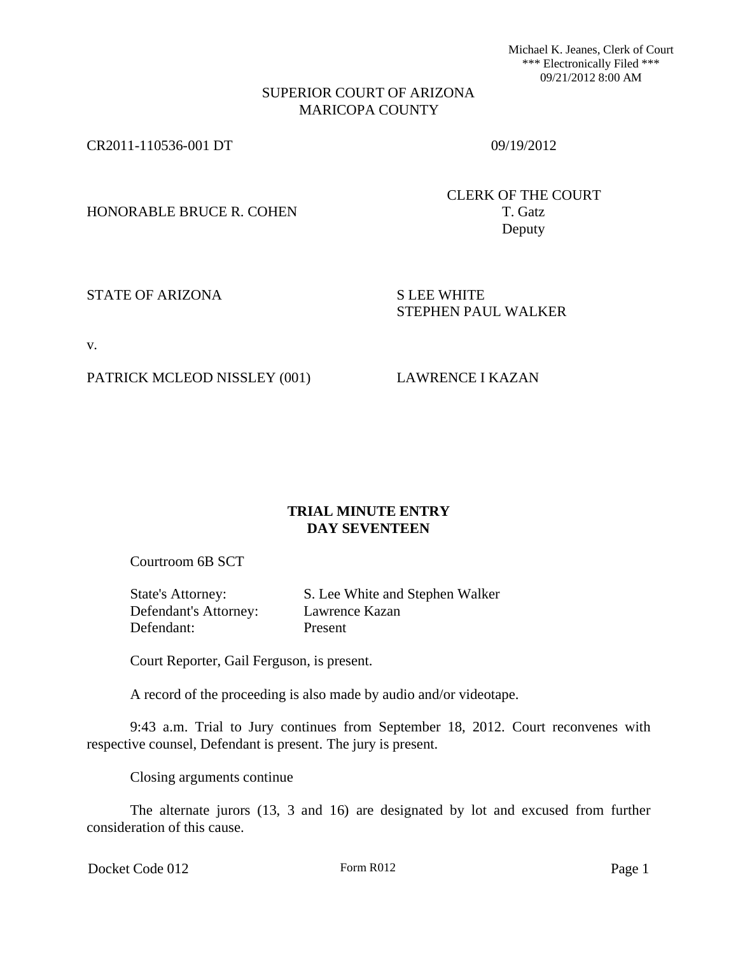Michael K. Jeanes, Clerk of Court \*\*\* Electronically Filed \*\*\* 09/21/2012 8:00 AM

## SUPERIOR COURT OF ARIZONA MARICOPA COUNTY

CR2011-110536-001 DT 09/19/2012

HONORABLE BRUCE R. COHEN T. Gatz

CLERK OF THE COURT Deputy

STATE OF ARIZONA SILEE WHITE

STEPHEN PAUL WALKER

v.

PATRICK MCLEOD NISSLEY (001) LAWRENCE I KAZAN

## **TRIAL MINUTE ENTRY DAY SEVENTEEN**

Courtroom 6B SCT

| State's Attorney:     | S. Lee White and Stephen Walker |
|-----------------------|---------------------------------|
| Defendant's Attorney: | Lawrence Kazan                  |
| Defendant:            | Present                         |

Court Reporter, Gail Ferguson, is present.

A record of the proceeding is also made by audio and/or videotape.

9:43 a.m. Trial to Jury continues from September 18, 2012. Court reconvenes with respective counsel, Defendant is present. The jury is present.

Closing arguments continue

The alternate jurors (13, 3 and 16) are designated by lot and excused from further consideration of this cause.

Docket Code 012 Form R012 Form R012 Page 1